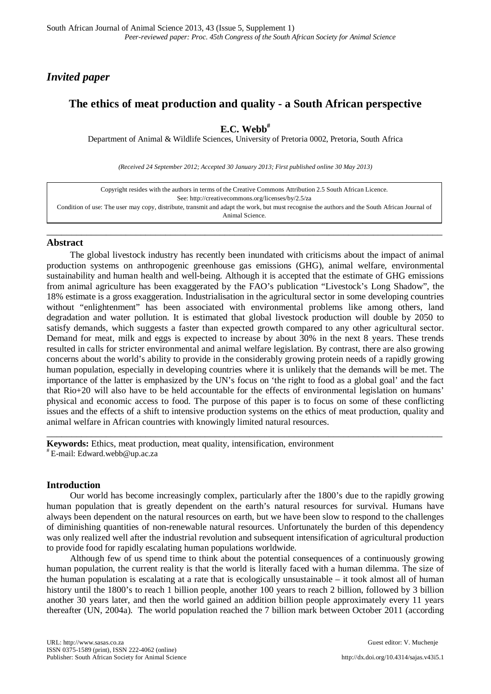# *Invited paper*

# **The ethics of meat production and quality - a South African perspective**

**E.C. Webb#**

Department of Animal & Wildlife Sciences, University of Pretoria 0002, Pretoria, South Africa

*(Received 24 September 2012; Accepted 30 January 2013; First published online 30 May 2013)*

| Copyright resides with the authors in terms of the Creative Commons Attribution 2.5 South African Licence.                                    |
|-----------------------------------------------------------------------------------------------------------------------------------------------|
| See: http://creativecommons.org/licenses/by/2.5/za                                                                                            |
| Condition of use: The user may copy, distribute, transmit and adapt the work, but must recognise the authors and the South African Journal of |
| Animal Science.                                                                                                                               |

\_\_\_\_\_\_\_\_\_\_\_\_\_\_\_\_\_\_\_\_\_\_\_\_\_\_\_\_\_\_\_\_\_\_\_\_\_\_\_\_\_\_\_\_\_\_\_\_\_\_\_\_\_\_\_\_\_\_\_\_\_\_\_\_\_\_\_\_\_\_\_\_\_\_\_\_\_\_\_\_

# **Abstract**

The global livestock industry has recently been inundated with criticisms about the impact of animal production systems on anthropogenic greenhouse gas emissions (GHG), animal welfare, environmental sustainability and human health and well-being. Although it is accepted that the estimate of GHG emissions from animal agriculture has been exaggerated by the FAO's publication "Livestock's Long Shadow", the 18% estimate is a gross exaggeration. Industrialisation in the agricultural sector in some developing countries without "enlightenment" has been associated with environmental problems like among others, land degradation and water pollution. It is estimated that global livestock production will double by 2050 to satisfy demands, which suggests a faster than expected growth compared to any other agricultural sector. Demand for meat, milk and eggs is expected to increase by about 30% in the next 8 years. These trends resulted in calls for stricter environmental and animal welfare legislation. By contrast, there are also growing concerns about the world's ability to provide in the considerably growing protein needs of a rapidly growing human population, especially in developing countries where it is unlikely that the demands will be met. The importance of the latter is emphasized by the UN's focus on 'the right to food as a global goal' and the fact that Rio+20 will also have to be held accountable for the effects of environmental legislation on humans' physical and economic access to food. The purpose of this paper is to focus on some of these conflicting issues and the effects of a shift to intensive production systems on the ethics of meat production, quality and animal welfare in African countries with knowingly limited natural resources.

**Keywords:** Ethics, meat production, meat quality, intensification, environment  $*$  E-mail: [Edward.webb@up.ac.za](mailto:Edward.webb@up.ac.za)

# **Introduction**

Our world has become increasingly complex, particularly after the 1800's due to the rapidly growing human population that is greatly dependent on the earth's natural resources for survival. Humans have always been dependent on the natural resources on earth, but we have been slow to respond to the challenges of diminishing quantities of non-renewable natural resources. Unfortunately the burden of this dependency was only realized well after the industrial revolution and subsequent intensification of agricultural production to provide food for rapidly escalating human populations worldwide.

\_\_\_\_\_\_\_\_\_\_\_\_\_\_\_\_\_\_\_\_\_\_\_\_\_\_\_\_\_\_\_\_\_\_\_\_\_\_\_\_\_\_\_\_\_\_\_\_\_\_\_\_\_\_\_\_\_\_\_\_\_\_\_\_\_\_\_\_\_\_\_\_\_\_\_\_\_\_\_\_

Although few of us spend time to think about the potential consequences of a continuously growing human population, the current reality is that the world is literally faced with a human dilemma. The size of the human population is escalating at a rate that is ecologically unsustainable – it took almost all of human history until the 1800's to reach 1 billion people, another 100 years to reach 2 billion, followed by 3 billion another 30 years later, and then the world gained an addition billion people approximately every 11 years thereafter (UN, 2004a). The world population reached the 7 billion mark between October 2011 (according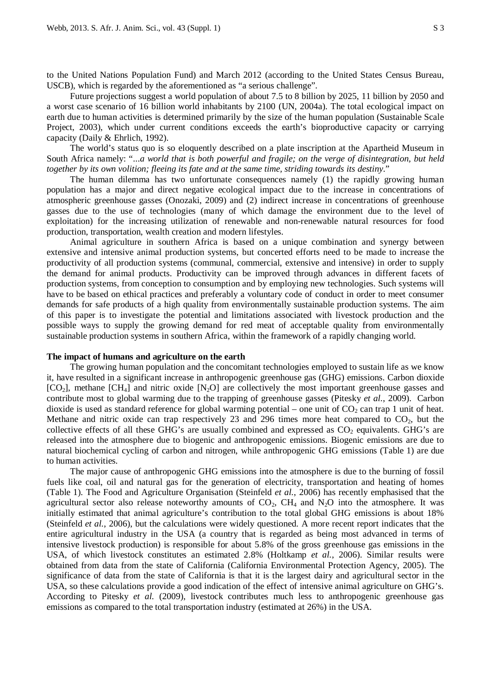to the United Nations Population Fund) and March 2012 (according to the United States Census Bureau, USCB), which is regarded by the aforementioned as "a serious challenge".

Future projections suggest a world population of about 7.5 to 8 billion by 2025, 11 billion by 2050 and a worst case scenario of 16 billion world inhabitants by 2100 (UN, 2004a). The total ecological impact on earth due to human activities is determined primarily by the size of the human population (Sustainable Scale Project, 2003), which under current conditions exceeds the earth's bioproductive capacity or carrying capacity (Daily & Ehrlich, 1992).

The world's status quo is so eloquently described on a plate inscription at the Apartheid Museum in South Africa namely: "...*a world that is both powerful and fragile; on the verge of disintegration, but held together by its own volition; fleeing its fate and at the same time, striding towards its destiny*."

The human dilemma has two unfortunate consequences namely (1) the rapidly growing human population has a major and direct negative ecological impact due to the increase in concentrations of atmospheric greenhouse gasses (Onozaki, 2009) and (2) indirect increase in concentrations of greenhouse gasses due to the use of technologies (many of which damage the environment due to the level of exploitation) for the increasing utilization of renewable and non-renewable natural resources for food production, transportation, wealth creation and modern lifestyles.

Animal agriculture in southern Africa is based on a unique combination and synergy between extensive and intensive animal production systems, but concerted efforts need to be made to increase the productivity of all production systems (communal, commercial, extensive and intensive) in order to supply the demand for animal products. Productivity can be improved through advances in different facets of production systems, from conception to consumption and by employing new technologies. Such systems will have to be based on ethical practices and preferably a voluntary code of conduct in order to meet consumer demands for safe products of a high quality from environmentally sustainable production systems. The aim of this paper is to investigate the potential and limitations associated with livestock production and the possible ways to supply the growing demand for red meat of acceptable quality from environmentally sustainable production systems in southern Africa, within the framework of a rapidly changing world.

### **The impact of humans and agriculture on the earth**

The growing human population and the concomitant technologies employed to sustain life as we know it, have resulted in a significant increase in anthropogenic greenhouse gas (GHG) emissions. Carbon dioxide  $[CO_2]$ , methane  $[CH_4]$  and nitric oxide  $[N_2O]$  are collectively the most important greenhouse gasses and contribute most to global warming due to the trapping of greenhouse gasses (Pitesky *et al.*, 2009). Carbon dioxide is used as standard reference for global warming potential – one unit of  $CO<sub>2</sub>$  can trap 1 unit of heat. Methane and nitric oxide can trap respectively 23 and 296 times more heat compared to  $CO<sub>2</sub>$ , but the collective effects of all these GHG's are usually combined and expressed as  $CO<sub>2</sub>$  equivalents. GHG's are released into the atmosphere due to biogenic and anthropogenic emissions. Biogenic emissions are due to natural biochemical cycling of carbon and nitrogen, while anthropogenic GHG emissions (Table 1) are due to human activities.

The major cause of anthropogenic GHG emissions into the atmosphere is due to the burning of fossil fuels like coal, oil and natural gas for the generation of electricity, transportation and heating of homes (Table 1). The Food and Agriculture Organisation (Steinfeld *et al.*, 2006) has recently emphasised that the agricultural sector also release noteworthy amounts of  $CO_2$ ,  $CH_4$  and  $N_2O$  into the atmosphere. It was initially estimated that animal agriculture's contribution to the total global GHG emissions is about 18% (Steinfeld *et al.*, 2006), but the calculations were widely questioned. A more recent report indicates that the entire agricultural industry in the USA (a country that is regarded as being most advanced in terms of intensive livestock production) is responsible for about 5.8% of the gross greenhouse gas emissions in the USA, of which livestock constitutes an estimated 2.8% (Holtkamp *et al.*, 2006). Similar results were obtained from data from the state of California (California Environmental Protection Agency, 2005). The significance of data from the state of California is that it is the largest dairy and agricultural sector in the USA, so these calculations provide a good indication of the effect of intensive animal agriculture on GHG's. According to Pitesky *et al.* (2009), livestock contributes much less to anthropogenic greenhouse gas emissions as compared to the total transportation industry (estimated at 26%) in the USA.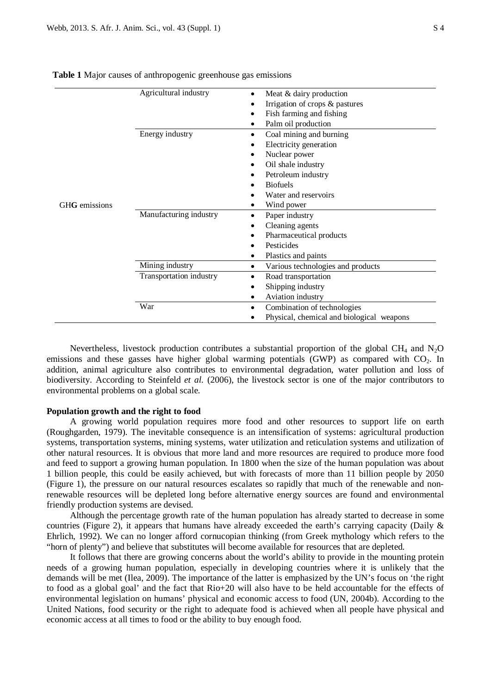|               | Agricultural industry   | Meat & dairy production<br>$\bullet$           |  |  |
|---------------|-------------------------|------------------------------------------------|--|--|
|               |                         | Irrigation of crops & pastures                 |  |  |
|               |                         | Fish farming and fishing<br>٠                  |  |  |
|               |                         | Palm oil production                            |  |  |
|               | Energy industry         | Coal mining and burning<br>$\bullet$           |  |  |
|               |                         | Electricity generation                         |  |  |
|               |                         | Nuclear power                                  |  |  |
|               |                         | Oil shale industry                             |  |  |
|               |                         | Petroleum industry                             |  |  |
|               |                         | <b>Biofuels</b>                                |  |  |
|               |                         | Water and reservoirs                           |  |  |
| GHG emissions |                         | Wind power                                     |  |  |
|               | Manufacturing industry  | Paper industry                                 |  |  |
|               |                         | Cleaning agents<br>$\bullet$                   |  |  |
|               |                         | Pharmaceutical products                        |  |  |
|               |                         | Pesticides                                     |  |  |
|               |                         | Plastics and paints<br>٠                       |  |  |
|               | Mining industry         | Various technologies and products<br>$\bullet$ |  |  |
|               | Transportation industry | Road transportation                            |  |  |
|               |                         | Shipping industry                              |  |  |

• Aviation industry

• Physical, chemical and biological weapons

|  |  | Table 1 Major causes of anthropogenic greenhouse gas emissions |  |
|--|--|----------------------------------------------------------------|--|
|  |  |                                                                |  |

Nevertheless, livestock production contributes a substantial proportion of the global  $CH_4$  and  $N_2O$ emissions and these gasses have higher global warming potentials (GWP) as compared with  $CO<sub>2</sub>$ . In addition, animal agriculture also contributes to environmental degradation, water pollution and loss of biodiversity. According to Steinfeld *et al.* (2006), the livestock sector is one of the major contributors to environmental problems on a global scale.

War • Combination of technologies

#### **Population growth and the right to food**

A growing world population requires more food and other resources to support life on earth (Roughgarden, 1979). The inevitable consequence is an intensification of systems: agricultural production systems, transportation systems, mining systems, water utilization and reticulation systems and utilization of other natural resources. It is obvious that more land and more resources are required to produce more food and feed to support a growing human population. In 1800 when the size of the human population was about 1 billion people, this could be easily achieved, but with forecasts of more than 11 billion people by 2050 (Figure 1), the pressure on our natural resources escalates so rapidly that much of the renewable and nonrenewable resources will be depleted long before alternative energy sources are found and environmental friendly production systems are devised.

Although the percentage growth rate of the human population has already started to decrease in some countries (Figure 2), it appears that humans have already exceeded the earth's carrying capacity (Daily & Ehrlich, 1992). We can no longer afford cornucopian thinking (from Greek mythology which refers to the "horn of plenty") and believe that substitutes will become available for resources that are depleted.

It follows that there are growing concerns about the world's ability to provide in the mounting protein needs of a growing human population, especially in developing countries where it is unlikely that the demands will be met (Ilea, 2009). The importance of the latter is emphasized by the UN's focus on 'the right to food as a global goal' and the fact that Rio+20 will also have to be held accountable for the effects of environmental legislation on humans' physical and economic access to food (UN, 2004b). According to the United Nations, food security or the right to adequate food is achieved when all people have physical and economic access at all times to food or the ability to buy enough food.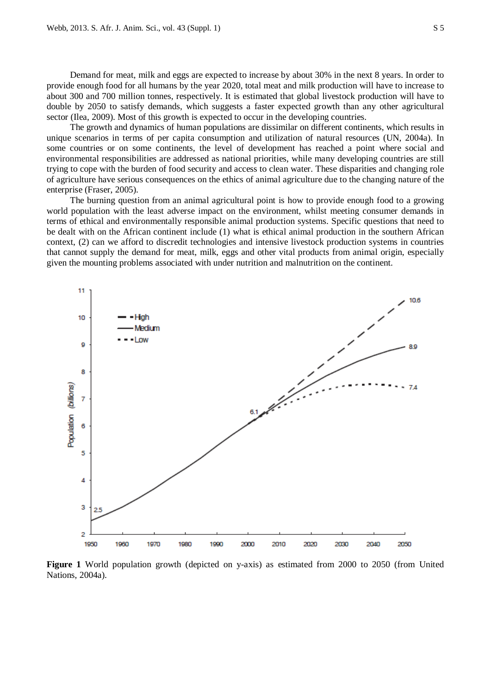Demand for meat, milk and eggs are expected to increase by about 30% in the next 8 years. In order to provide enough food for all humans by the year 2020, total meat and milk production will have to increase to about 300 and 700 million tonnes, respectively. It is estimated that global livestock production will have to double by 2050 to satisfy demands, which suggests a faster expected growth than any other agricultural sector (Ilea, 2009). Most of this growth is expected to occur in the developing countries.

The growth and dynamics of human populations are dissimilar on different continents, which results in unique scenarios in terms of per capita consumption and utilization of natural resources (UN, 2004a). In some countries or on some continents, the level of development has reached a point where social and environmental responsibilities are addressed as national priorities, while many developing countries are still trying to cope with the burden of food security and access to clean water. These disparities and changing role of agriculture have serious consequences on the ethics of animal agriculture due to the changing nature of the enterprise (Fraser, 2005).

The burning question from an animal agricultural point is how to provide enough food to a growing world population with the least adverse impact on the environment, whilst meeting consumer demands in terms of ethical and environmentally responsible animal production systems. Specific questions that need to be dealt with on the African continent include (1) what is ethical animal production in the southern African context, (2) can we afford to discredit technologies and intensive livestock production systems in countries that cannot supply the demand for meat, milk, eggs and other vital products from animal origin, especially given the mounting problems associated with under nutrition and malnutrition on the continent.



**Figure 1** World population growth (depicted on y-axis) as estimated from 2000 to 2050 (from United Nations, 2004a).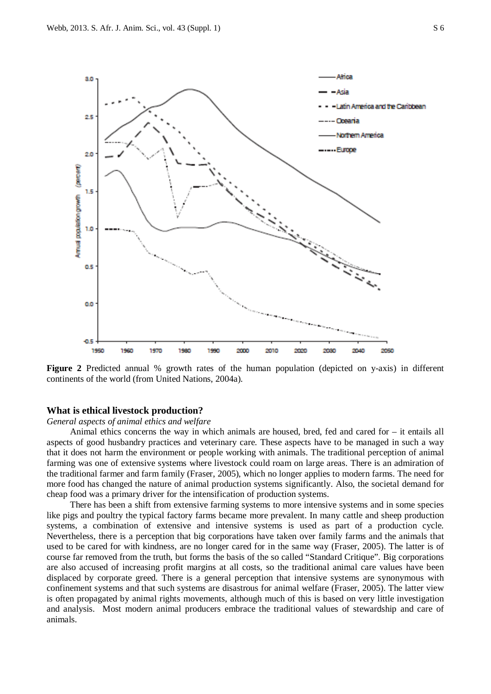

**Figure 2** Predicted annual % growth rates of the human population (depicted on y-axis) in different continents of the world (from United Nations, 2004a).

#### **What is ethical livestock production?**

# *General aspects of animal ethics and welfare*

Animal ethics concerns the way in which animals are housed, bred, fed and cared for – it entails all aspects of good husbandry practices and veterinary care. These aspects have to be managed in such a way that it does not harm the environment or people working with animals. The traditional perception of animal farming was one of extensive systems where livestock could roam on large areas. There is an admiration of the traditional farmer and farm family (Fraser, 2005), which no longer applies to modern farms. The need for more food has changed the nature of animal production systems significantly. Also, the societal demand for cheap food was a primary driver for the intensification of production systems.

There has been a shift from extensive farming systems to more intensive systems and in some species like pigs and poultry the typical factory farms became more prevalent. In many cattle and sheep production systems, a combination of extensive and intensive systems is used as part of a production cycle. Nevertheless, there is a perception that big corporations have taken over family farms and the animals that used to be cared for with kindness, are no longer cared for in the same way (Fraser, 2005). The latter is of course far removed from the truth, but forms the basis of the so called "Standard Critique". Big corporations are also accused of increasing profit margins at all costs, so the traditional animal care values have been displaced by corporate greed. There is a general perception that intensive systems are synonymous with confinement systems and that such systems are disastrous for animal welfare (Fraser, 2005). The latter view is often propagated by animal rights movements, although much of this is based on very little investigation and analysis. Most modern animal producers embrace the traditional values of stewardship and care of animals.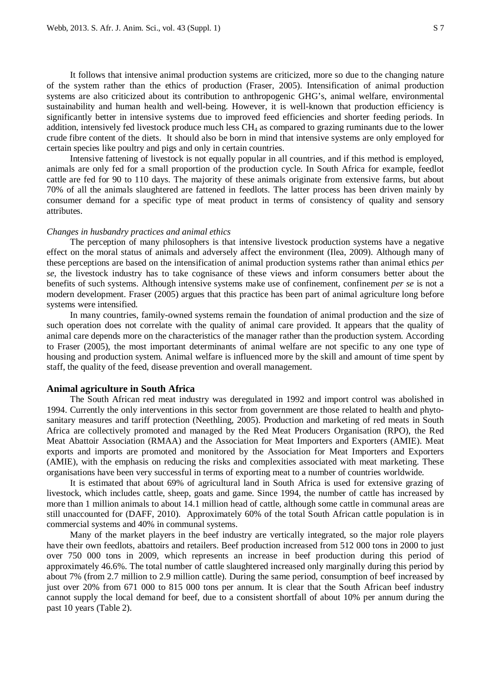It follows that intensive animal production systems are criticized, more so due to the changing nature of the system rather than the ethics of production (Fraser, 2005). Intensification of animal production systems are also criticized about its contribution to anthropogenic GHG's, animal welfare, environmental sustainability and human health and well-being. However, it is well-known that production efficiency is significantly better in intensive systems due to improved feed efficiencies and shorter feeding periods. In addition, intensively fed livestock produce much less  $CH<sub>4</sub>$  as compared to grazing ruminants due to the lower crude fibre content of the diets. It should also be born in mind that intensive systems are only employed for certain species like poultry and pigs and only in certain countries.

Intensive fattening of livestock is not equally popular in all countries, and if this method is employed, animals are only fed for a small proportion of the production cycle. In South Africa for example, feedlot cattle are fed for 90 to 110 days. The majority of these animals originate from extensive farms, but about 70% of all the animals slaughtered are fattened in feedlots. The latter process has been driven mainly by consumer demand for a specific type of meat product in terms of consistency of quality and sensory attributes.

#### *Changes in husbandry practices and animal ethics*

The perception of many philosophers is that intensive livestock production systems have a negative effect on the moral status of animals and adversely affect the environment (Ilea, 2009). Although many of these perceptions are based on the intensification of animal production systems rather than animal ethics *per se*, the livestock industry has to take cognisance of these views and inform consumers better about the benefits of such systems. Although intensive systems make use of confinement, confinement *per se* is not a modern development. Fraser (2005) argues that this practice has been part of animal agriculture long before systems were intensified.

In many countries, family-owned systems remain the foundation of animal production and the size of such operation does not correlate with the quality of animal care provided. It appears that the quality of animal care depends more on the characteristics of the manager rather than the production system. According to Fraser (2005), the most important determinants of animal welfare are not specific to any one type of housing and production system. Animal welfare is influenced more by the skill and amount of time spent by staff, the quality of the feed, disease prevention and overall management.

#### **Animal agriculture in South Africa**

The South African red meat industry was deregulated in 1992 and import control was abolished in 1994. Currently the only interventions in this sector from government are those related to health and phytosanitary measures and tariff protection (Neethling, 2005). Production and marketing of red meats in South Africa are collectively promoted and managed by the Red Meat Producers Organisation (RPO), the Red Meat Abattoir Association (RMAA) and the Association for Meat Importers and Exporters (AMIE). Meat exports and imports are promoted and monitored by the Association for Meat Importers and Exporters (AMIE), with the emphasis on reducing the risks and complexities associated with meat marketing. These organisations have been very successful in terms of exporting meat to a number of countries worldwide.

It is estimated that about 69% of agricultural land in South Africa is used for extensive grazing of livestock, which includes cattle, sheep, goats and game. Since 1994, the number of cattle has increased by more than 1 million animals to about 14.1 million head of cattle, although some cattle in communal areas are still unaccounted for (DAFF, 2010). Approximately 60% of the total South African cattle population is in commercial systems and 40% in communal systems.

Many of the market players in the beef industry are vertically integrated, so the major role players have their own feedlots, abattoirs and retailers. Beef production increased from 512 000 tons in 2000 to just over 750 000 tons in 2009, which represents an increase in beef production during this period of approximately 46.6%. The total number of cattle slaughtered increased only marginally during this period by about 7% (from 2.7 million to 2.9 million cattle). During the same period, consumption of beef increased by just over 20% from 671 000 to 815 000 tons per annum. It is clear that the South African beef industry cannot supply the local demand for beef, due to a consistent shortfall of about 10% per annum during the past 10 years (Table 2).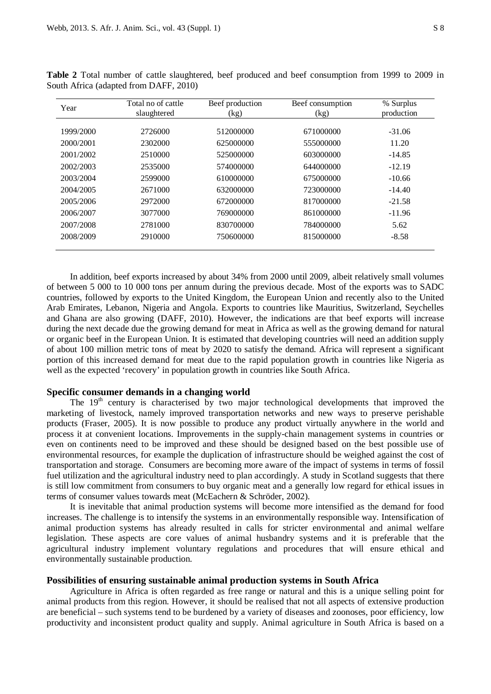| Year      | Total no of cattle | Beef production | Beef consumption | % Surplus  |  |
|-----------|--------------------|-----------------|------------------|------------|--|
|           | slaughtered        | (kg)            | (kg)             | production |  |
| 1999/2000 | 2726000            | 512000000       | 671000000        | $-31.06$   |  |
| 2000/2001 | 2302000            | 625000000       | 555000000        | 11.20      |  |
| 2001/2002 | 2510000            | 525000000       | 603000000        | $-14.85$   |  |
| 2002/2003 | 2535000            | 574000000       | 644000000        | $-12.19$   |  |
| 2003/2004 | 2599000            | 610000000       | 675000000        | $-10.66$   |  |
| 2004/2005 | 2671000            | 632000000       | 723000000        | $-14.40$   |  |
| 2005/2006 | 2972000            | 672000000       | 817000000        | $-21.58$   |  |
| 2006/2007 | 3077000            | 769000000       | 861000000        | $-11.96$   |  |
| 2007/2008 | 2781000            | 830700000       | 784000000        | 5.62       |  |
| 2008/2009 | 2910000            | 750600000       | 815000000        | $-8.58$    |  |

**Table 2** Total number of cattle slaughtered, beef produced and beef consumption from 1999 to 2009 in South Africa (adapted from DAFF, 2010)

In addition, beef exports increased by about 34% from 2000 until 2009, albeit relatively small volumes of between 5 000 to 10 000 tons per annum during the previous decade. Most of the exports was to SADC countries, followed by exports to the United Kingdom, the European Union and recently also to the United Arab Emirates, Lebanon, Nigeria and Angola. Exports to countries like Mauritius, Switzerland, Seychelles and Ghana are also growing (DAFF, 2010). However, the indications are that beef exports will increase during the next decade due the growing demand for meat in Africa as well as the growing demand for natural or organic beef in the European Union. It is estimated that developing countries will need an addition supply of about 100 million metric tons of meat by 2020 to satisfy the demand. Africa will represent a significant portion of this increased demand for meat due to the rapid population growth in countries like Nigeria as well as the expected 'recovery' in population growth in countries like South Africa.

# **Specific consumer demands in a changing world**

The  $19<sup>th</sup>$  century is characterised by two major technological developments that improved the marketing of livestock, namely improved transportation networks and new ways to preserve perishable products (Fraser, 2005). It is now possible to produce any product virtually anywhere in the world and process it at convenient locations. Improvements in the supply-chain management systems in countries or even on continents need to be improved and these should be designed based on the best possible use of environmental resources, for example the duplication of infrastructure should be weighed against the cost of transportation and storage. Consumers are becoming more aware of the impact of systems in terms of fossil fuel utilization and the agricultural industry need to plan accordingly. A study in Scotland suggests that there is still low commitment from consumers to buy organic meat and a generally low regard for ethical issues in terms of consumer values towards meat (McEachern & Schröder, 2002).

It is inevitable that animal production systems will become more intensified as the demand for food increases. The challenge is to intensify the systems in an environmentally responsible way. Intensification of animal production systems has already resulted in calls for stricter environmental and animal welfare legislation. These aspects are core values of animal husbandry systems and it is preferable that the agricultural industry implement voluntary regulations and procedures that will ensure ethical and environmentally sustainable production.

#### **Possibilities of ensuring sustainable animal production systems in South Africa**

Agriculture in Africa is often regarded as free range or natural and this is a unique selling point for animal products from this region. However, it should be realised that not all aspects of extensive production are beneficial – such systems tend to be burdened by a variety of diseases and zoonoses, poor efficiency, low productivity and inconsistent product quality and supply. Animal agriculture in South Africa is based on a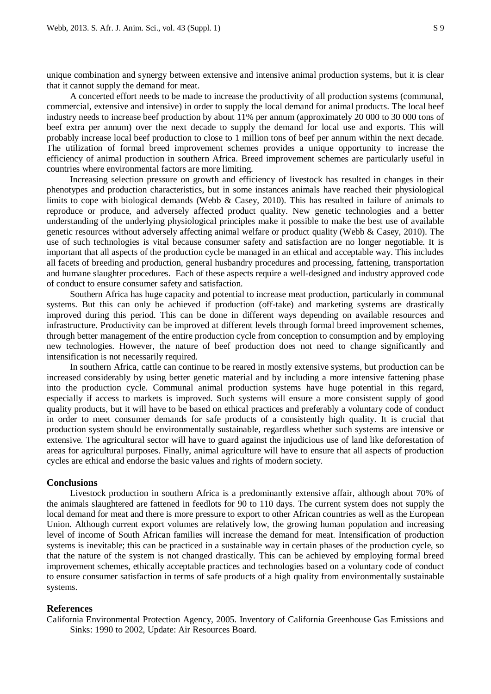unique combination and synergy between extensive and intensive animal production systems, but it is clear that it cannot supply the demand for meat.

A concerted effort needs to be made to increase the productivity of all production systems (communal, commercial, extensive and intensive) in order to supply the local demand for animal products. The local beef industry needs to increase beef production by about 11% per annum (approximately 20 000 to 30 000 tons of beef extra per annum) over the next decade to supply the demand for local use and exports. This will probably increase local beef production to close to 1 million tons of beef per annum within the next decade. The utilization of formal breed improvement schemes provides a unique opportunity to increase the efficiency of animal production in southern Africa. Breed improvement schemes are particularly useful in countries where environmental factors are more limiting.

Increasing selection pressure on growth and efficiency of livestock has resulted in changes in their phenotypes and production characteristics, but in some instances animals have reached their physiological limits to cope with biological demands (Webb & Casey, 2010). This has resulted in failure of animals to reproduce or produce, and adversely affected product quality. New genetic technologies and a better understanding of the underlying physiological principles make it possible to make the best use of available genetic resources without adversely affecting animal welfare or product quality (Webb & Casey, 2010). The use of such technologies is vital because consumer safety and satisfaction are no longer negotiable. It is important that all aspects of the production cycle be managed in an ethical and acceptable way. This includes all facets of breeding and production, general husbandry procedures and processing, fattening, transportation and humane slaughter procedures. Each of these aspects require a well-designed and industry approved code of conduct to ensure consumer safety and satisfaction.

Southern Africa has huge capacity and potential to increase meat production, particularly in communal systems. But this can only be achieved if production (off-take) and marketing systems are drastically improved during this period. This can be done in different ways depending on available resources and infrastructure. Productivity can be improved at different levels through formal breed improvement schemes, through better management of the entire production cycle from conception to consumption and by employing new technologies. However, the nature of beef production does not need to change significantly and intensification is not necessarily required.

In southern Africa, cattle can continue to be reared in mostly extensive systems, but production can be increased considerably by using better genetic material and by including a more intensive fattening phase into the production cycle. Communal animal production systems have huge potential in this regard, especially if access to markets is improved. Such systems will ensure a more consistent supply of good quality products, but it will have to be based on ethical practices and preferably a voluntary code of conduct in order to meet consumer demands for safe products of a consistently high quality. It is crucial that production system should be environmentally sustainable, regardless whether such systems are intensive or extensive. The agricultural sector will have to guard against the injudicious use of land like deforestation of areas for agricultural purposes. Finally, animal agriculture will have to ensure that all aspects of production cycles are ethical and endorse the basic values and rights of modern society.

#### **Conclusions**

Livestock production in southern Africa is a predominantly extensive affair, although about 70% of the animals slaughtered are fattened in feedlots for 90 to 110 days. The current system does not supply the local demand for meat and there is more pressure to export to other African countries as well as the European Union. Although current export volumes are relatively low, the growing human population and increasing level of income of South African families will increase the demand for meat. Intensification of production systems is inevitable; this can be practiced in a sustainable way in certain phases of the production cycle, so that the nature of the system is not changed drastically. This can be achieved by employing formal breed improvement schemes, ethically acceptable practices and technologies based on a voluntary code of conduct to ensure consumer satisfaction in terms of safe products of a high quality from environmentally sustainable systems.

### **References**

California Environmental Protection Agency, 2005. Inventory of California Greenhouse Gas Emissions and Sinks: 1990 to 2002, Update: Air Resources Board.